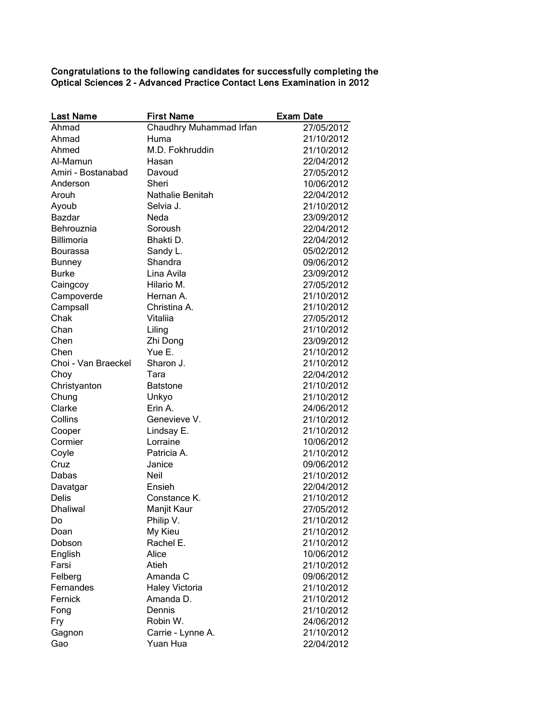Congratulations to the following candidates for successfully completing the Optical Sciences 2 - Advanced Practice Contact Lens Examination in 2012

| <b>Last Name</b>    | <b>First Name</b>       | <b>Exam Date</b> |
|---------------------|-------------------------|------------------|
| Ahmad               | Chaudhry Muhammad Irfan | 27/05/2012       |
| Ahmad               | Huma                    | 21/10/2012       |
| Ahmed               | M.D. Fokhruddin         | 21/10/2012       |
| Al-Mamun            | Hasan                   | 22/04/2012       |
| Amiri - Bostanabad  | Davoud                  | 27/05/2012       |
| Anderson            | Sheri                   | 10/06/2012       |
| Arouh               | Nathalie Benitah        | 22/04/2012       |
| Ayoub               | Selvia J.               | 21/10/2012       |
| <b>Bazdar</b>       | Neda                    | 23/09/2012       |
| Behrouznia          | Soroush                 | 22/04/2012       |
| Billimoria          | Bhakti D.               | 22/04/2012       |
| Bourassa            | Sandy L.                | 05/02/2012       |
| <b>Bunney</b>       | Shandra                 | 09/06/2012       |
| <b>Burke</b>        | Lina Avila              | 23/09/2012       |
| Caingcoy            | Hilario M.              | 27/05/2012       |
| Campoverde          | Hernan A.               | 21/10/2012       |
| Campsall            | Christina A.            | 21/10/2012       |
| Chak                | Vitaliia                | 27/05/2012       |
| Chan                | Liling                  | 21/10/2012       |
| Chen                | Zhi Dong                | 23/09/2012       |
| Chen                | Yue E.                  | 21/10/2012       |
| Choi - Van Braeckel | Sharon J.               | 21/10/2012       |
| Choy                | Tara                    | 22/04/2012       |
| Christyanton        | <b>Batstone</b>         | 21/10/2012       |
| Chung               | Unkyo                   | 21/10/2012       |
| Clarke              | Erin A.                 | 24/06/2012       |
| Collins             | Genevieve V.            | 21/10/2012       |
| Cooper              | Lindsay E.              | 21/10/2012       |
| Cormier             | Lorraine                | 10/06/2012       |
| Coyle               | Patricia A.             | 21/10/2012       |
| Cruz                | Janice                  | 09/06/2012       |
| Dabas               | <b>Neil</b>             | 21/10/2012       |
| Davatgar            | Ensieh                  | 22/04/2012       |
| <b>Delis</b>        | Constance K.            | 21/10/2012       |
| <b>Dhaliwal</b>     | Manjit Kaur             | 27/05/2012       |
| Do                  | Philip V.               | 21/10/2012       |
| Doan                | My Kieu                 | 21/10/2012       |
| Dobson              | Rachel E.               | 21/10/2012       |
| English             | Alice                   | 10/06/2012       |
| Farsi               | Atieh                   | 21/10/2012       |
| Felberg             | Amanda C                | 09/06/2012       |
| Fernandes           | <b>Haley Victoria</b>   | 21/10/2012       |
| Fernick             | Amanda D.               | 21/10/2012       |
| Fong                | Dennis                  | 21/10/2012       |
| Fry                 | Robin W.                | 24/06/2012       |
| Gagnon              | Carrie - Lynne A.       | 21/10/2012       |
| Gao                 | Yuan Hua                | 22/04/2012       |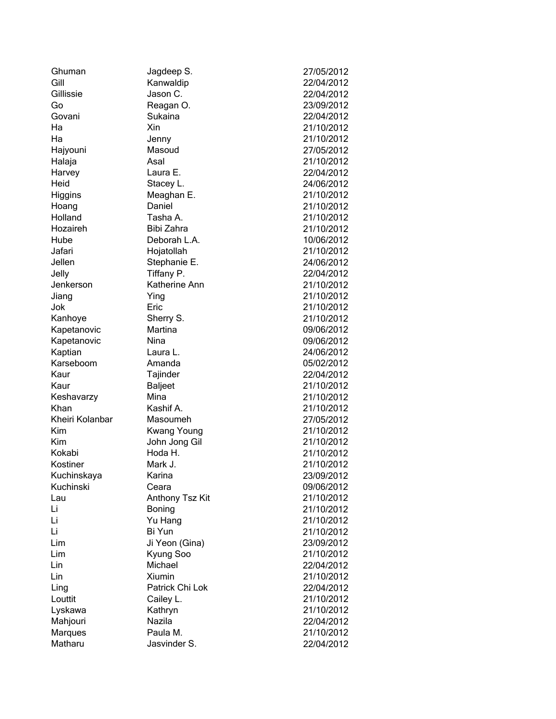| Ghuman          | Jagdeep S.         | 27/05/2012 |
|-----------------|--------------------|------------|
| Gill            | Kanwaldip          | 22/04/2012 |
| Gillissie       | Jason C.           | 22/04/2012 |
| Go              | Reagan O.          | 23/09/2012 |
| Govani          | Sukaina            | 22/04/2012 |
| Ha              | Xin                | 21/10/2012 |
| Ha              | Jenny              | 21/10/2012 |
| Hajyouni        | Masoud             | 27/05/2012 |
| Halaja          | Asal               | 21/10/2012 |
| Harvey          | Laura E.           | 22/04/2012 |
| Heid            | Stacey L.          | 24/06/2012 |
| Higgins         | Meaghan E.         | 21/10/2012 |
| Hoang           | Daniel             | 21/10/2012 |
| Holland         | Tasha A.           | 21/10/2012 |
| Hozaireh        | Bibi Zahra         | 21/10/2012 |
| Hube            | Deborah L.A.       | 10/06/2012 |
| Jafari          | Hojatollah         | 21/10/2012 |
| Jellen          | Stephanie E.       | 24/06/2012 |
| Jelly           | Tiffany P.         | 22/04/2012 |
| Jenkerson       | Katherine Ann      | 21/10/2012 |
| Jiang           | Ying               | 21/10/2012 |
| Jok             | Eric               | 21/10/2012 |
| Kanhoye         | Sherry S.          | 21/10/2012 |
| Kapetanovic     | Martina            | 09/06/2012 |
| Kapetanovic     | Nina               | 09/06/2012 |
| Kaptian         | Laura L.           | 24/06/2012 |
| Karseboom       | Amanda             | 05/02/2012 |
| Kaur            | Tajinder           | 22/04/2012 |
| Kaur            | <b>Baljeet</b>     | 21/10/2012 |
| Keshavarzy      | Mina               | 21/10/2012 |
| Khan            | Kashif A.          | 21/10/2012 |
| Kheiri Kolanbar | Masoumeh           | 27/05/2012 |
| Kim             | <b>Kwang Young</b> | 21/10/2012 |
| Kim             | John Jong Gil      | 21/10/2012 |
| Kokabi          | Hoda H.            | 21/10/2012 |
| Kostiner        | Mark J.            | 21/10/2012 |
| Kuchinskaya     | Karina             | 23/09/2012 |
| Kuchinski       | Ceara              | 09/06/2012 |
| Lau             | Anthony Tsz Kit    | 21/10/2012 |
| Li              | Boning             | 21/10/2012 |
| Li              | Yu Hang            | 21/10/2012 |
| Li              | Bi Yun             | 21/10/2012 |
| Lim             | Ji Yeon (Gina)     | 23/09/2012 |
| Lim             | Kyung Soo          | 21/10/2012 |
| Lin             | Michael            | 22/04/2012 |
| Lin             | Xiumin             | 21/10/2012 |
| Ling            | Patrick Chi Lok    | 22/04/2012 |
| Louttit         | Cailey L.          | 21/10/2012 |
| Lyskawa         | Kathryn            | 21/10/2012 |
| Mahjouri        | Nazila             | 22/04/2012 |
| <b>Marques</b>  | Paula M.           | 21/10/2012 |
| Matharu         | Jasvinder S.       | 22/04/2012 |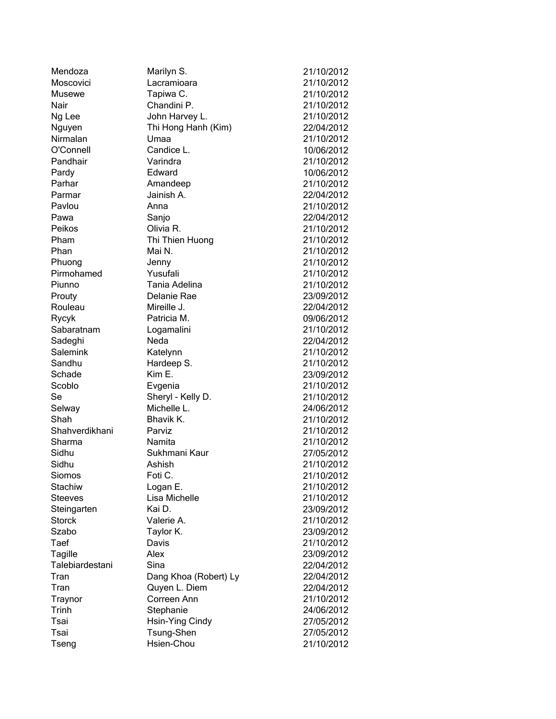| Mendoza              | Marilyn S.            | 21/10/2012 |
|----------------------|-----------------------|------------|
| Moscovici            | Lacramioara           | 21/10/2012 |
| <b>Musewe</b>        | Tapiwa C.             | 21/10/2012 |
| Nair                 | Chandini P.           | 21/10/2012 |
| Ng Lee               | John Harvey L.        | 21/10/2012 |
| Nguyen               | Thi Hong Hanh (Kim)   | 22/04/2012 |
| Nirmalan             | Umaa                  | 21/10/2012 |
| O'Connell            | Candice L.            | 10/06/2012 |
| Pandhair             | Varindra              | 21/10/2012 |
| Pardy                | Edward                | 10/06/2012 |
| Parhar               | Amandeep              | 21/10/2012 |
| Parmar               | Jainish A.            | 22/04/2012 |
| Pavlou               | Anna                  | 21/10/2012 |
| Pawa                 | Sanjo                 | 22/04/2012 |
| Peikos               | Olivia R.             | 21/10/2012 |
| Pham                 | Thi Thien Huong       | 21/10/2012 |
| Phan                 | Mai N.                | 21/10/2012 |
|                      |                       | 21/10/2012 |
| Phuong<br>Pirmohamed | Jenny<br>Yusufali     |            |
|                      |                       | 21/10/2012 |
| Piunno               | Tania Adelina         | 21/10/2012 |
| Prouty               | Delanie Rae           | 23/09/2012 |
| Rouleau              | Mireille J.           | 22/04/2012 |
| Rycyk                | Patricia M.           | 09/06/2012 |
| Sabaratnam           | Logamalini            | 21/10/2012 |
| Sadeghi              | Neda                  | 22/04/2012 |
| Salemink             | Katelynn              | 21/10/2012 |
| Sandhu               | Hardeep S.            | 21/10/2012 |
| Schade               | Kim E.                | 23/09/2012 |
| Scoblo               | Evgenia               | 21/10/2012 |
| Se                   | Sheryl - Kelly D.     | 21/10/2012 |
| Selway               | Michelle L.           | 24/06/2012 |
| Shah                 | Bhavik K.             | 21/10/2012 |
| Shahverdikhani       | Parviz                | 21/10/2012 |
| Sharma               | Namita                | 21/10/2012 |
| Sidhu                | Sukhmani Kaur         | 27/05/2012 |
| Sidhu                | Ashish                | 21/10/2012 |
| Siomos               | Foti C.               | 21/10/2012 |
| Stachiw              | Logan E.              | 21/10/2012 |
| <b>Steeves</b>       | Lisa Michelle         | 21/10/2012 |
| Steingarten          | Kai D.                | 23/09/2012 |
| <b>Storck</b>        | Valerie A.            | 21/10/2012 |
| Szabo                | Taylor K.             | 23/09/2012 |
| Taef                 | Davis                 | 21/10/2012 |
| Tagille              | Alex                  | 23/09/2012 |
| Talebiardestani      | Sina                  | 22/04/2012 |
| Tran                 | Dang Khoa (Robert) Ly | 22/04/2012 |
| Tran                 | Quyen L. Diem         | 22/04/2012 |
| <b>Traynor</b>       | Correen Ann           | 21/10/2012 |
| <b>Trinh</b>         | Stephanie             | 24/06/2012 |
| Tsai                 | Hsin-Ying Cindy       | 27/05/2012 |
| Tsai                 | Tsung-Shen            | 27/05/2012 |
| Tseng                | Hsien-Chou            | 21/10/2012 |
|                      |                       |            |